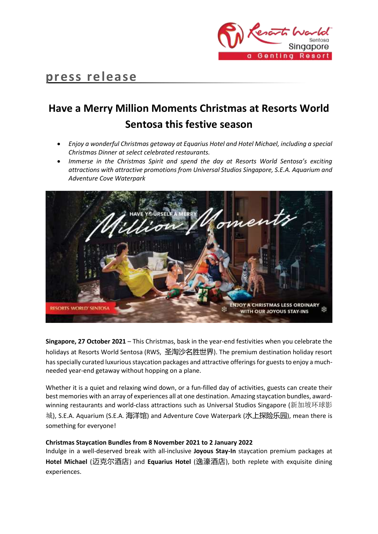

## **press release**

# **Have a Merry Million Moments Christmas at Resorts World Sentosa this festive season**

- *Enjoy a wonderful Christmas getaway at Equarius Hotel and Hotel Michael, including a special Christmas Dinner at select celebrated restaurants.*
- *Immerse in the Christmas Spirit and spend the day at Resorts World Sentosa's exciting attractions with attractive promotions from Universal Studios Singapore, S.E.A. Aquarium and Adventure Cove Waterpark*



**Singapore, 27 October 2021** – This Christmas, bask in the year-end festivities when you celebrate the holidays at Resorts World Sentosa (RWS, 圣淘沙名胜世界). The premium destination holiday resort has specially curated luxurious staycation packages and attractive offerings for guests to enjoy a muchneeded year-end getaway without hopping on a plane.

Whether it is a quiet and relaxing wind down, or a fun-filled day of activities, guests can create their best memories with an array of experiences all at one destination. Amazing staycation bundles, awardwinning restaurants and world-class attractions such as Universal Studios Singapore (新加坡环球影 城), S.E.A. Aquarium (S.E.A. 海洋馆) and Adventure Cove Waterpark (水上探险乐园), mean there is something for everyone!

### **Christmas Staycation Bundles from 8 November 2021 to 2 January 2022**

Indulge in a well-deserved break with all-inclusive **Joyous Stay-In** staycation premium packages at **Hotel Michael** (迈克尔酒店) and **Equarius Hotel** (逸濠酒店), both replete with exquisite dining experiences.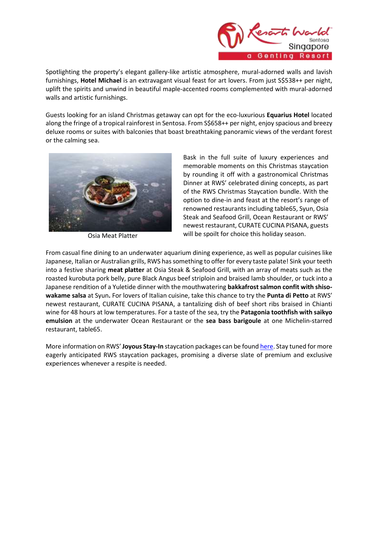

Spotlighting the property's elegant gallery-like artistic atmosphere, mural-adorned walls and lavish furnishings, **Hotel Michael** is an extravagant visual feast for art lovers. From just S\$538++ per night, uplift the spirits and unwind in beautiful maple-accented rooms complemented with mural-adorned walls and artistic furnishings.

Guests looking for an island Christmas getaway can opt for the eco-luxurious **Equarius Hotel** located along the fringe of a tropical rainforest in Sentosa. From S\$658++ per night, enjoy spacious and breezy deluxe rooms or suites with balconies that boast breathtaking panoramic views of the verdant forest or the calming sea.



Osia Meat Platter

Bask in the full suite of luxury experiences and memorable moments on this Christmas staycation by rounding it off with a gastronomical Christmas Dinner at RWS' celebrated dining concepts, as part of the RWS Christmas Staycation bundle. With the option to dine-in and feast at the resort's range of renowned restaurants including table65, Syun, Osia Steak and Seafood Grill, Ocean Restaurant or RWS' newest restaurant, CURATE CUCINA PISANA, guests will be spoilt for choice this holiday season.

From casual fine dining to an underwater aquarium dining experience, as well as popular cuisines like Japanese, Italian or Australian grills, RWS has something to offer for every taste palate! Sink your teeth into a festive sharing **meat platter** at Osia Steak & Seafood Grill, with an array of meats such as the roasted kurobuta pork belly, pure Black Angus beef striploin and braised lamb shoulder, or tuck into a Japanese rendition of a Yuletide dinner with the mouthwatering **bakkafrost salmon confit with shisowakame salsa** at Syun**.** For lovers of Italian cuisine, take this chance to try the **Punta di Petto** at RWS' newest restaurant, CURATE CUCINA PISANA, a tantalizing dish of beef short ribs braised in Chianti wine for 48 hours at low temperatures. For a taste of the sea, try the **Patagonia toothfish with saikyo emulsion** at the underwater Ocean Restaurant or the **sea bass barigoule** at one Michelin-starred restaurant, table65.

More information on RWS' **Joyous Stay-In** staycation packages can be foun[d here.](http://www.rwsentosa.com/merrymillionmoments) Stay tuned for more eagerly anticipated RWS staycation packages, promising a diverse slate of premium and exclusive experiences whenever a respite is needed.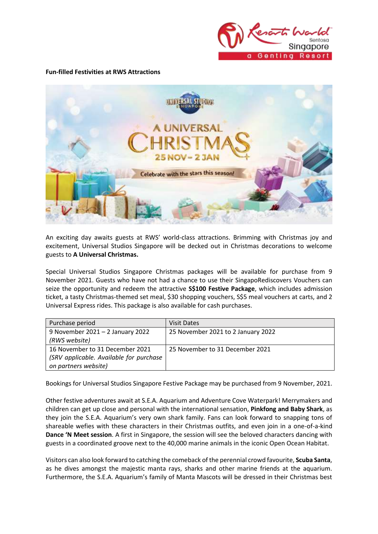

#### **Fun-filled Festivities at RWS Attractions**



An exciting day awaits guests at RWS' world-class attractions. Brimming with Christmas joy and excitement, Universal Studios Singapore will be decked out in Christmas decorations to welcome guests to **A Universal Christmas.**

Special Universal Studios Singapore Christmas packages will be available for purchase from 9 November 2021. Guests who have not had a chance to use their SingapoRediscovers Vouchers can seize the opportunity and redeem the attractive **S\$100 Festive Package**, which includes admission ticket, a tasty Christmas-themed set meal, \$30 shopping vouchers, S\$5 meal vouchers at carts, and 2 Universal Express rides. This package is also available for cash purchases.

| Purchase period                         | <b>Visit Dates</b>                 |
|-----------------------------------------|------------------------------------|
| 9 November 2021 - 2 January 2022        | 25 November 2021 to 2 January 2022 |
| (RWS website)                           |                                    |
| 16 November to 31 December 2021         | 25 November to 31 December 2021    |
| (SRV applicable. Available for purchase |                                    |
| on partners website)                    |                                    |

Bookings for Universal Studios Singapore Festive Package may be purchased from 9 November, 2021.

Other festive adventures await at S.E.A. Aquarium and Adventure Cove Waterpark! Merrymakers and children can get up close and personal with the international sensation, **Pinkfong and Baby Shark**, as they join the S.E.A. Aquarium's very own shark family. Fans can look forward to snapping tons of shareable wefies with these characters in their Christmas outfits, and even join in a one-of-a-kind **Dance 'N Meet session**. A first in Singapore, the session will see the beloved characters dancing with guests in a coordinated groove next to the 40,000 marine animals in the iconic Open Ocean Habitat.

Visitors can also look forward to catching the comeback of the perennial crowd favourite, **Scuba Santa**, as he dives amongst the majestic manta rays, sharks and other marine friends at the aquarium. Furthermore, the S.E.A. Aquarium's family of Manta Mascots will be dressed in their Christmas best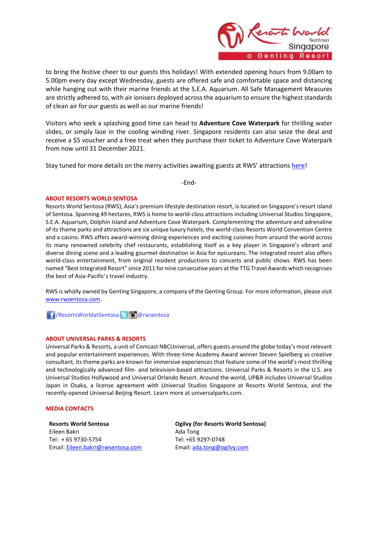

to bring the festive cheer to our guests this holidays! With extended opening hours from 9.00am to 5.00pm every day except Wednesday, guests are offered safe and comfortable space and distancing while hanging out with their marine friends at the S.E.A. Aquarium. All Safe Management Measures are strictly adhered to, with air ionisers deployed across the aquarium to ensure the highest standards of clean air for our guests as well as our marine friends!

Visitors who seek a splashing good time can head to **Adventure Cove Waterpark** for thrilling water slides, or simply laze in the cooling winding river. Singapore residents can also seize the deal and receive a \$5 voucher and a free treat when they purchase their ticket to Adventure Cove Waterpark from now until 31 December 2021.

Stay tuned for more details on the merry activities awaiting guests at RWS' attractions [here!](http://www.rwsentosa.com/merrymillionmoments)

-End-

#### **ABOUT RESORTS WORLD SENTOSA**

Resorts World Sentosa (RWS), Asia's premium lifestyle destination resort, is located on Singapore's resort island of Sentosa. Spanning 49 hectares, RWS is home to world-class attractions including Universal Studios Singapore, S.E.A. Aquarium, Dolphin Island and Adventure Cove Waterpark. Complementing the adventure and adrenaline of its theme parks and attractions are six unique luxury hotels, the world-class Resorts World Convention Centre and a casino. RWS offers award-winning dining experiences and exciting cuisines from around the world across its many renowned celebrity chef restaurants, establishing itself as a key player in Singapore's vibrant and diverse dining scene and a leading gourmet destination in Asia for epicureans. The integrated resort also offers world-class entertainment, from original resident productions to concerts and public shows. RWS has been named "Best Integrated Resort" since 2011 for nine consecutive years at the TTG Travel Awards which recognises the best of Asia-Pacific's travel industry.

RWS is wholly owned by Genting Singapore, a company of the Genting Group. For more information, please visit [www.rwsentosa.com.](http://www.rwsentosa.com/)

/ResortsWorldatSentosa @rwsentosa

#### **ABOUT UNIVERSAL PARKS & RESORTS**

Universal Parks & Resorts, a unit of Comcast NBCUniversal, offers guests around the globe today's most relevant and popular entertainment experiences. With three-time Academy Award winner Steven Spielberg as creative consultant, its theme parks are known for immersive experiences that feature some of the world's most thrilling and technologically advanced film- and television-based attractions. Universal Parks & Resorts in the U.S. are Universal Studios Hollywood and Universal Orlando Resort. Around the world, UP&R includes Universal Studios Japan in Osaka, a license agreement with Universal Studios Singapore at Resorts World Sentosa, and the recently-opened Universal Beijing Resort. Learn more at universalparks.com.

#### **MEDIA CONTACTS**

**Resorts World Sentosa** Eileen Bakri Tel: + 65 9730-5754 Email[: Eileen.bakri@rwsentosa.com](mailto:Eileen.bakri@rwsentosa.com) **Ogilvy (for Resorts World Sentosa)** Ada Tong Tel: +65 9297-0748 Email: [ada.tong@ogilvy.com](mailto:ada.tong@ogilvy.com)